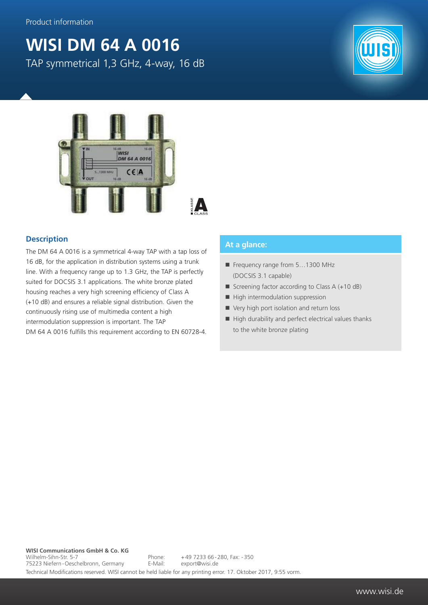## **WISI DM 64 A 0016**

TAP symmetrical 1,3 GHz, 4-way, 16 dB





## **Description**

The DM 64 A 0016 is a symmetrical 4-way TAP with a tap loss of 16 dB, for the application in distribution systems using a trunk line. With a frequency range up to 1.3 GHz, the TAP is perfectly suited for DOCSIS 3.1 applications. The white bronze plated housing reaches a very high screening efficiency of Class A (+10 dB) and ensures a reliable signal distribution. Given the continuously rising use of multimedia content a high intermodulation suppression is important. The TAP DM 64 A 0016 fulfills this requirement according to EN 60728-4.

## **At a glance:**

- Frequency range from 5...1300 MHz (DOCSIS 3.1 capable)
- Screening factor according to Class  $A (+10 dB)$
- $\blacksquare$  High intermodulation suppression
- Very high port isolation and return loss
- $\blacksquare$  High durability and perfect electrical values thanks to the white bronze plating